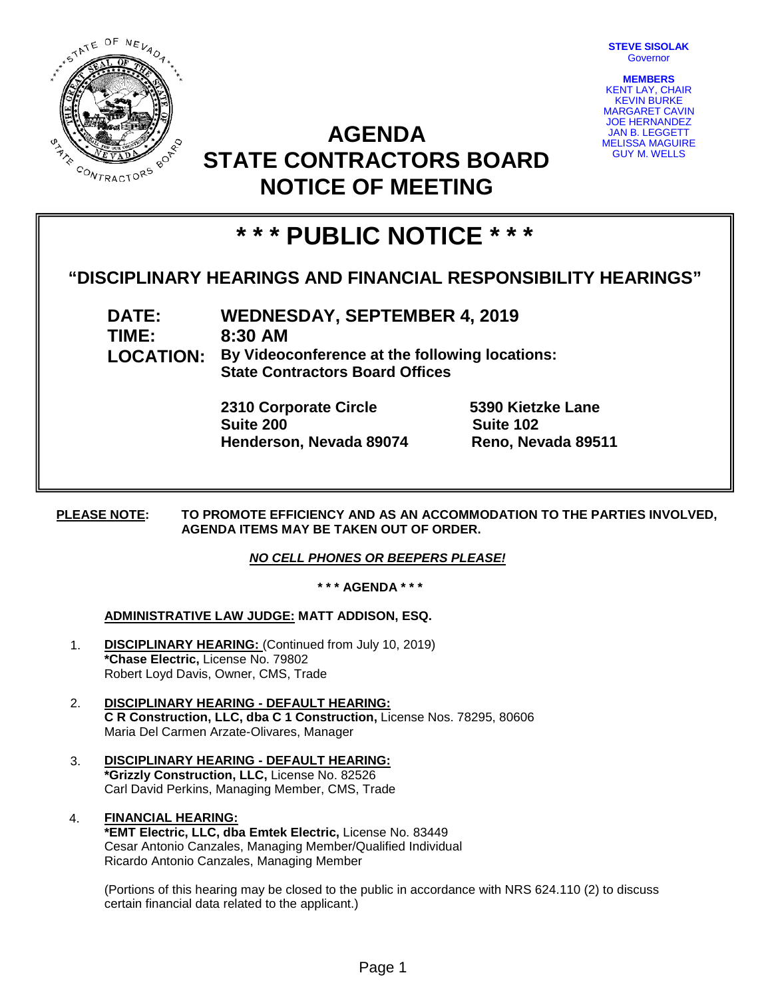

**STEVE SISOLAK** Governor

**MEMBERS** KENT LAY, CHAIR KEVIN BURKE MARGARET CAVIN JOE HERNANDEZ JAN B. LEGGETT MELISSA MAGUIRE GUY M. WELLS

## **AGENDA STATE CONTRACTORS BOARD NOTICE OF MEETING**

# **\* \* \* PUBLIC NOTICE \* \* \***

### **"DISCIPLINARY HEARINGS AND FINANCIAL RESPONSIBILITY HEARINGS"**

**DATE: WEDNESDAY, SEPTEMBER 4, 2019 TIME: 8:30 AM LOCATION: By Videoconference at the following locations: State Contractors Board Offices**

> **2310 Corporate Circle 5390 Kietzke Lane Suite 200 Suite 102 Henderson, Nevada 89074 Reno, Nevada 89511**

#### **PLEASE NOTE: TO PROMOTE EFFICIENCY AND AS AN ACCOMMODATION TO THE PARTIES INVOLVED, AGENDA ITEMS MAY BE TAKEN OUT OF ORDER.**

#### *NO CELL PHONES OR BEEPERS PLEASE!*

#### **\* \* \* AGENDA \* \* \***

#### **ADMINISTRATIVE LAW JUDGE: MATT ADDISON, ESQ.**

- 1. **DISCIPLINARY HEARING:** (Continued from July 10, 2019) **\*Chase Electric,** License No. 79802 Robert Loyd Davis, Owner, CMS, Trade
- 2. **DISCIPLINARY HEARING - DEFAULT HEARING: C R Construction, LLC, dba C 1 Construction,** License Nos. 78295, 80606 Maria Del Carmen Arzate-Olivares, Manager
- 3. **DISCIPLINARY HEARING - DEFAULT HEARING: \*Grizzly Construction, LLC,** License No. 82526 Carl David Perkins, Managing Member, CMS, Trade
- 4. **FINANCIAL HEARING: \*EMT Electric, LLC, dba Emtek Electric,** License No. 83449 Cesar Antonio Canzales, Managing Member/Qualified Individual Ricardo Antonio Canzales, Managing Member

(Portions of this hearing may be closed to the public in accordance with NRS 624.110 (2) to discuss certain financial data related to the applicant.)